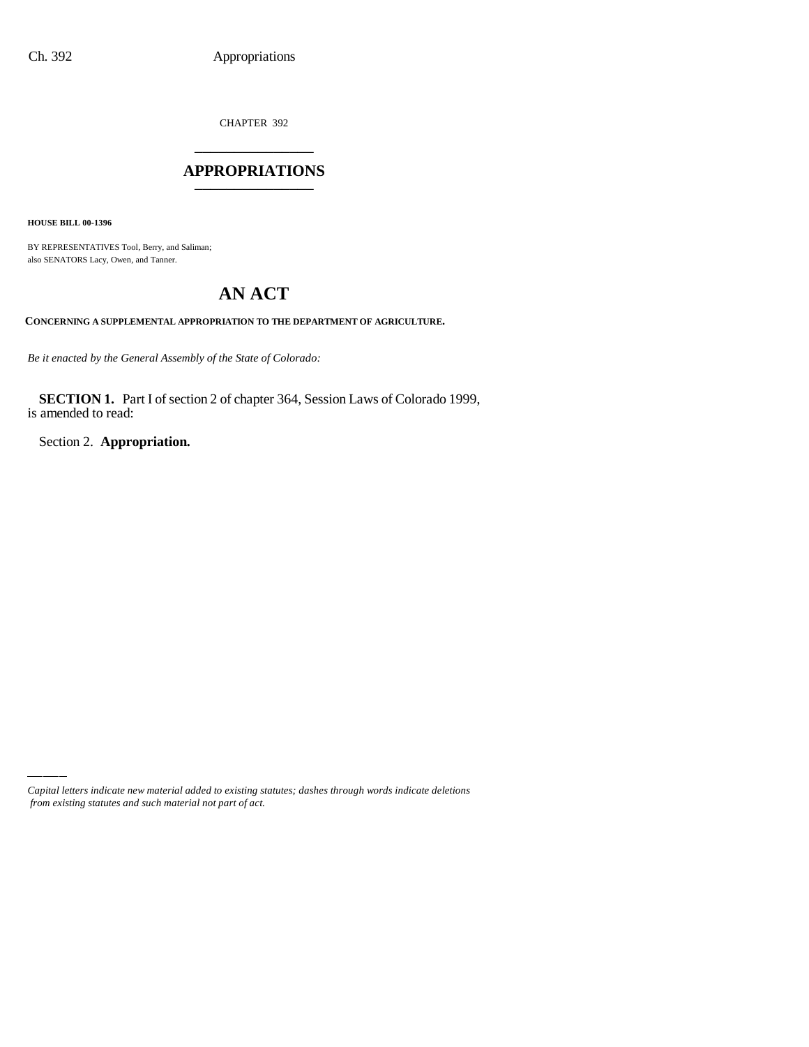CHAPTER 392 \_\_\_\_\_\_\_\_\_\_\_\_\_\_\_

#### **APPROPRIATIONS** \_\_\_\_\_\_\_\_\_\_\_\_\_\_\_

**HOUSE BILL 00-1396**

BY REPRESENTATIVES Tool, Berry, and Saliman; also SENATORS Lacy, Owen, and Tanner.

# **AN ACT**

**CONCERNING A SUPPLEMENTAL APPROPRIATION TO THE DEPARTMENT OF AGRICULTURE.**

*Be it enacted by the General Assembly of the State of Colorado:*

**SECTION 1.** Part I of section 2 of chapter 364, Session Laws of Colorado 1999, is amended to read:

Section 2. **Appropriation.**

*Capital letters indicate new material added to existing statutes; dashes through words indicate deletions from existing statutes and such material not part of act.*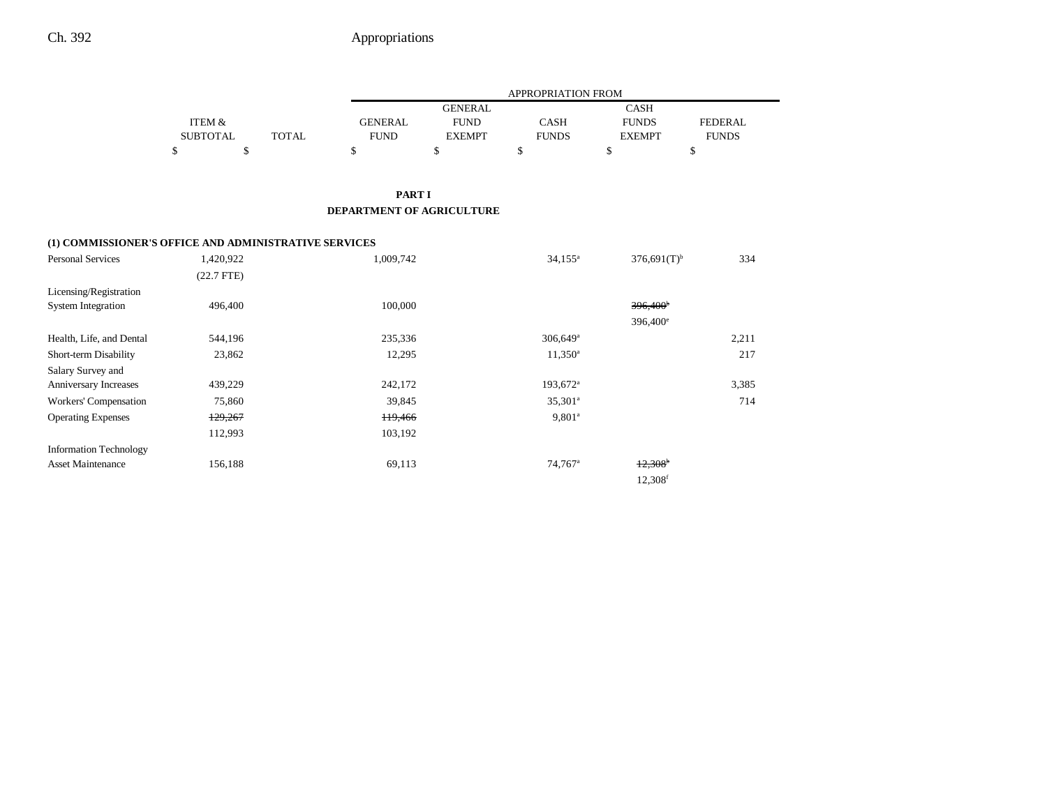### Ch. 392 **Appropriations**

|                 |              |             | APPROPRIATION FROM |              |               |                |  |
|-----------------|--------------|-------------|--------------------|--------------|---------------|----------------|--|
|                 |              |             | GENERAL            |              | <b>CASH</b>   |                |  |
| ITEM &          |              | GENERAL     | <b>FUND</b>        | CASH         | <b>FUNDS</b>  | <b>FEDERAL</b> |  |
| <b>SUBTOTAL</b> | <b>TOTAL</b> | <b>FUND</b> | <b>EXEMPT</b>      | <b>FUNDS</b> | <b>EXEMPT</b> | FUNDS          |  |
|                 |              |             |                    |              |               |                |  |

#### **PART I DEPARTMENT OF AGRICULTURE**

#### **(1) COMMISSIONER'S OFFICE AND ADMINISTRATIVE SERVICES**

| <b>Personal Services</b>      | 1,420,922    | 1,009,742 | $34,155^{\circ}$       | $376,691(T)$ <sup>b</sup> | 334   |
|-------------------------------|--------------|-----------|------------------------|---------------------------|-------|
|                               | $(22.7$ FTE) |           |                        |                           |       |
| Licensing/Registration        |              |           |                        |                           |       |
| <b>System Integration</b>     | 496,400      | 100,000   |                        | $396,400^{\circ}$         |       |
|                               |              |           |                        | 396,400 <sup>e</sup>      |       |
| Health, Life, and Dental      | 544,196      | 235,336   | $306,649$ <sup>a</sup> |                           | 2,211 |
| Short-term Disability         | 23,862       | 12,295    | $11,350^{\rm a}$       |                           | 217   |
| Salary Survey and             |              |           |                        |                           |       |
| Anniversary Increases         | 439,229      | 242,172   | $193,672$ <sup>a</sup> |                           | 3,385 |
| Workers' Compensation         | 75,860       | 39,845    | $35,301^{\circ}$       |                           | 714   |
| <b>Operating Expenses</b>     | 129,267      | 119,466   | $9,801^a$              |                           |       |
|                               | 112,993      | 103,192   |                        |                           |       |
| <b>Information Technology</b> |              |           |                        |                           |       |
| <b>Asset Maintenance</b>      | 156,188      | 69,113    | 74,767 <sup>a</sup>    | $+2,308$                  |       |
|                               |              |           |                        | 12,308 <sup>f</sup>       |       |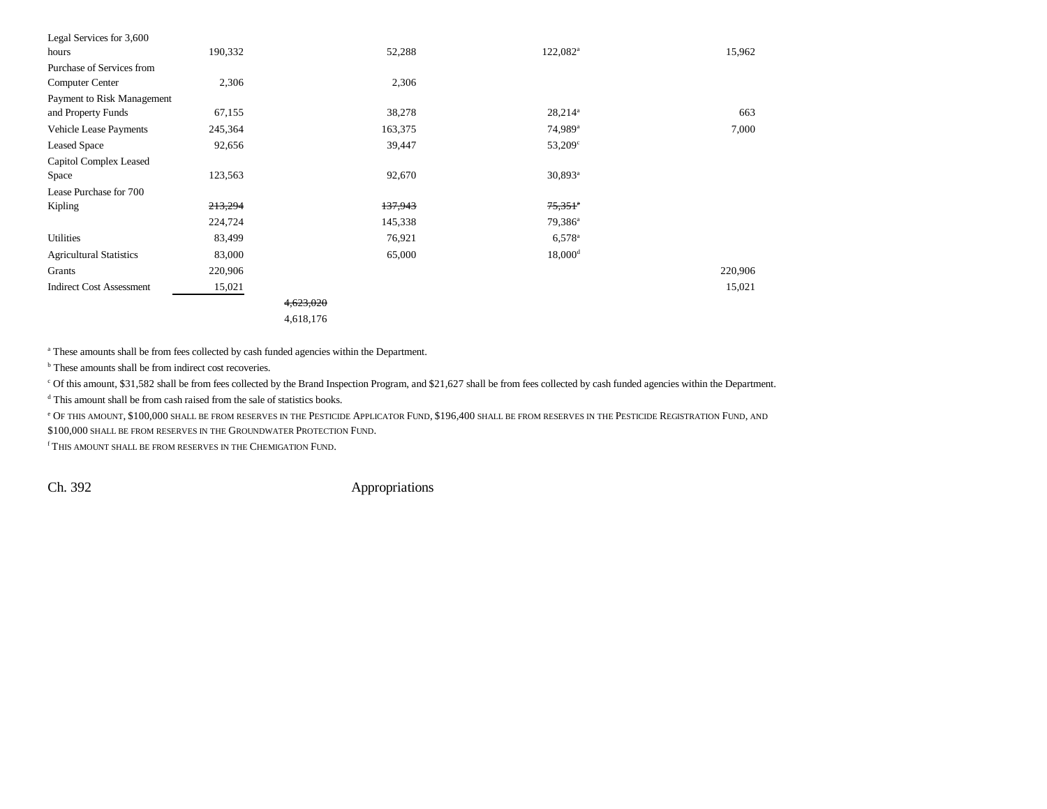| Legal Services for 3,600        |         |           |                       |         |
|---------------------------------|---------|-----------|-----------------------|---------|
| hours                           | 190,332 | 52,288    | $122,082^a$           | 15,962  |
| Purchase of Services from       |         |           |                       |         |
| <b>Computer Center</b>          | 2,306   | 2,306     |                       |         |
| Payment to Risk Management      |         |           |                       |         |
| and Property Funds              | 67,155  | 38,278    | $28,214^a$            | 663     |
| <b>Vehicle Lease Payments</b>   | 245,364 | 163,375   | 74,989 <sup>a</sup>   | 7,000   |
| <b>Leased Space</b>             | 92,656  | 39,447    | 53,209 <sup>c</sup>   |         |
| Capitol Complex Leased          |         |           |                       |         |
| Space                           | 123,563 | 92,670    | 30,893 <sup>a</sup>   |         |
| Lease Purchase for 700          |         |           |                       |         |
| Kipling                         | 213,294 | 137,943   | $75,351$ <sup>a</sup> |         |
|                                 | 224,724 | 145,338   | $79,386^a$            |         |
| Utilities                       | 83,499  | 76,921    | $6,578^{\circ}$       |         |
| <b>Agricultural Statistics</b>  | 83,000  | 65,000    | $18,000$ <sup>d</sup> |         |
| Grants                          | 220,906 |           |                       | 220,906 |
| <b>Indirect Cost Assessment</b> | 15,021  |           |                       | 15,021  |
|                                 |         | 4,623,020 |                       |         |
|                                 |         | 4,618,176 |                       |         |

a These amounts shall be from fees collected by cash funded agencies within the Department.

<sup>b</sup> These amounts shall be from indirect cost recoveries.

c Of this amount, \$31,582 shall be from fees collected by the Brand Inspection Program, and \$21,627 shall be from fees collected by cash funded agencies within the Department.

d This amount shall be from cash raised from the sale of statistics books.

e Of this amount, \$100,000 shall be from reserves in the Pesticide Applicator Fund, \$196,400 shall be from reserves in the Pesticide Registration Fund, and the Pesticide Registration Fund, and \$100,000 SHALL BE FROM RESERVES IN THE GROUNDWATER PROTECTION FUND.

f THIS AMOUNT SHALL BE FROM RESERVES IN THE CHEMIGATION FUND.

Ch. 392 Appropriations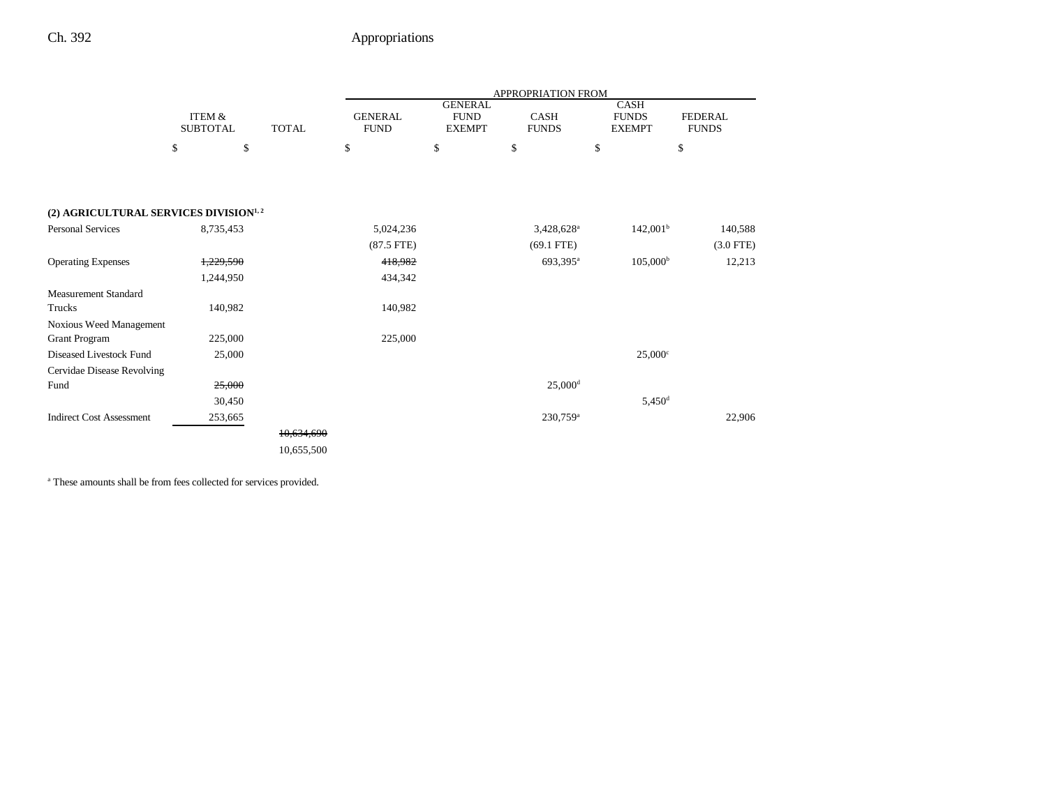## Ch. 392 Appropriations

|                                                   |                                      |              | APPROPRIATION FROM            |                                                |                        |                                              |                                |
|---------------------------------------------------|--------------------------------------|--------------|-------------------------------|------------------------------------------------|------------------------|----------------------------------------------|--------------------------------|
|                                                   | <b>ITEM &amp;</b><br><b>SUBTOTAL</b> | <b>TOTAL</b> | <b>GENERAL</b><br><b>FUND</b> | <b>GENERAL</b><br><b>FUND</b><br><b>EXEMPT</b> | CASH<br><b>FUNDS</b>   | <b>CASH</b><br><b>FUNDS</b><br><b>EXEMPT</b> | <b>FEDERAL</b><br><b>FUNDS</b> |
|                                                   | \$<br>\$                             |              | \$                            | \$                                             | \$                     | \$                                           | \$                             |
|                                                   |                                      |              |                               |                                                |                        |                                              |                                |
| (2) AGRICULTURAL SERVICES DIVISION <sup>1,2</sup> |                                      |              |                               |                                                |                        |                                              |                                |
| <b>Personal Services</b>                          | 8,735,453                            |              | 5,024,236                     |                                                | 3,428,628 <sup>a</sup> | 142,001 <sup>b</sup>                         | 140,588                        |
|                                                   |                                      |              | $(87.5$ FTE)                  |                                                | $(69.1$ FTE)           |                                              | $(3.0$ FTE)                    |
| <b>Operating Expenses</b>                         | 1,229,590                            |              | 418,982                       |                                                | 693,395 <sup>a</sup>   | $105,000^{\rm b}$                            | 12,213                         |
|                                                   | 1,244,950                            |              | 434,342                       |                                                |                        |                                              |                                |
| <b>Measurement Standard</b>                       |                                      |              |                               |                                                |                        |                                              |                                |
| Trucks                                            | 140,982                              |              | 140,982                       |                                                |                        |                                              |                                |
| <b>Noxious Weed Management</b>                    |                                      |              |                               |                                                |                        |                                              |                                |
| <b>Grant Program</b>                              | 225,000                              |              | 225,000                       |                                                |                        |                                              |                                |
| Diseased Livestock Fund                           | 25,000                               |              |                               |                                                |                        | $25,000$ <sup>c</sup>                        |                                |
| Cervidae Disease Revolving                        |                                      |              |                               |                                                |                        |                                              |                                |
| Fund                                              | 25,000                               |              |                               |                                                | $25,000$ <sup>d</sup>  |                                              |                                |
|                                                   | 30,450                               |              |                               |                                                |                        | $5,450$ <sup>d</sup>                         |                                |
| <b>Indirect Cost Assessment</b>                   | 253,665                              |              |                               |                                                | $230,759$ <sup>a</sup> |                                              | 22,906                         |
|                                                   |                                      | 10,634,690   |                               |                                                |                        |                                              |                                |
|                                                   |                                      | 10,655,500   |                               |                                                |                        |                                              |                                |
|                                                   |                                      |              |                               |                                                |                        |                                              |                                |

a These amounts shall be from fees collected for services provided.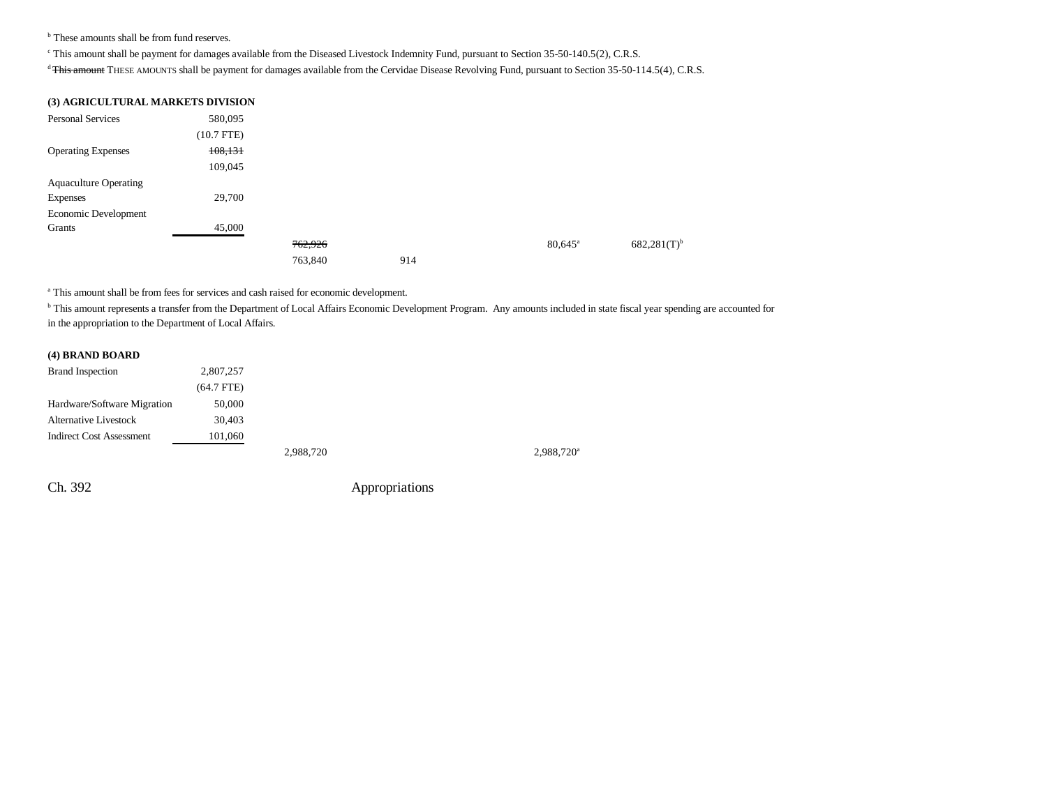<sup>b</sup> These amounts shall be from fund reserves.

c This amount shall be payment for damages available from the Diseased Livestock Indemnity Fund, pursuant to Section 35-50-140.5(2), C.R.S.

<sup>d</sup> This amount THESE AMOUNTS shall be payment for damages available from the Cervidae Disease Revolving Fund, pursuant to Section 35-50-114.5(4), C.R.S.

| <b>(3) AGRICULTURAL MARKETS DIVISION</b> |
|------------------------------------------|
|------------------------------------------|

| <b>Personal Services</b>     | 580,095      |         |     |                  |                           |
|------------------------------|--------------|---------|-----|------------------|---------------------------|
|                              | $(10.7$ FTE) |         |     |                  |                           |
| <b>Operating Expenses</b>    | 108,131      |         |     |                  |                           |
|                              | 109,045      |         |     |                  |                           |
| <b>Aquaculture Operating</b> |              |         |     |                  |                           |
| <b>Expenses</b>              | 29,700       |         |     |                  |                           |
| Economic Development         |              |         |     |                  |                           |
| Grants                       | 45,000       |         |     |                  |                           |
|                              |              | 762,926 |     | $80,645^{\circ}$ | $682,281(T)$ <sup>b</sup> |
|                              |              | 763,840 | 914 |                  |                           |

a This amount shall be from fees for services and cash raised for economic development.

<sup>b</sup> This amount represents a transfer from the Department of Local Affairs Economic Development Program. Any amounts included in state fiscal year spending are accounted for in the appropriation to the Department of Local Affairs.

#### **(4) BRAND BOARD**

| <b>Brand Inspection</b>         | 2,807,257    |
|---------------------------------|--------------|
|                                 | $(64.7$ FTE) |
| Hardware/Software Migration     | 50,000       |
| <b>Alternative Livestock</b>    | 30.403       |
| <b>Indirect Cost Assessment</b> | 101,060      |
|                                 |              |

2,988,720<sup>a</sup> 2,988,720<sup>a</sup>

Ch. 392 Appropriations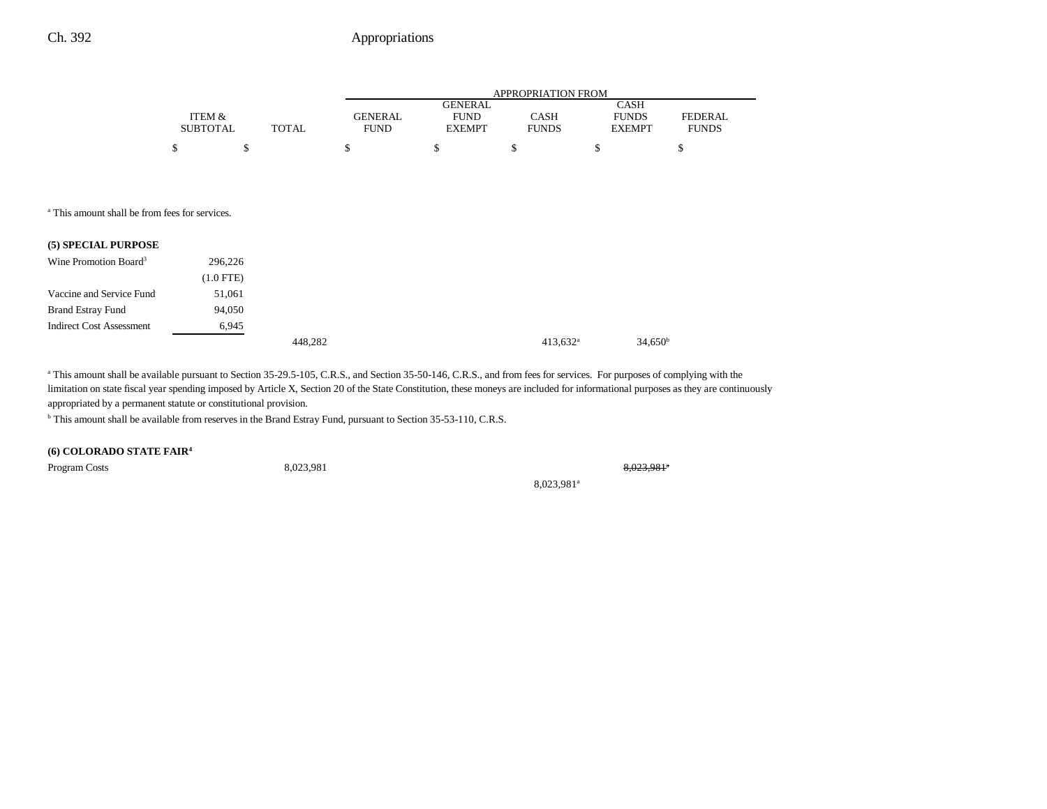### Ch. 392 **Appropriations**

|                 |              |             | APPROPRIATION FROM |              |               |              |  |  |
|-----------------|--------------|-------------|--------------------|--------------|---------------|--------------|--|--|
|                 |              |             | <b>GENERAL</b>     |              | CASH          |              |  |  |
| ITEM &          |              | GENERAL     | <b>FUND</b>        | CASH         | <b>FUNDS</b>  | FEDERAL      |  |  |
| <b>SUBTOTAL</b> | <b>TOTAL</b> | <b>FUND</b> | <b>EXEMPT</b>      | <b>FUNDS</b> | <b>EXEMPT</b> | <b>FUNDS</b> |  |  |
|                 |              |             |                    |              |               |              |  |  |

a This amount shall be from fees for services.

| (5) SPECIAL PURPOSE               |             |         |             |  |
|-----------------------------------|-------------|---------|-------------|--|
| Wine Promotion Board <sup>3</sup> | 296,226     |         |             |  |
|                                   | $(1.0$ FTE) |         |             |  |
| Vaccine and Service Fund          | 51,061      |         |             |  |
| <b>Brand Estray Fund</b>          | 94,050      |         |             |  |
| <b>Indirect Cost Assessment</b>   | 6,945       |         |             |  |
|                                   |             | 448,282 | $413,632^a$ |  |

<sup>a</sup> This amount shall be available pursuant to Section 35-29.5-105, C.R.S., and Section 35-50-146, C.R.S., and from fees for services. For purposes of complying with the limitation on state fiscal year spending imposed by Article X, Section 20 of the State Constitution, these moneys are included for informational purposes as they are continuously appropriated by a permanent statute or constitutional provision.

b This amount shall be available from reserves in the Brand Estray Fund, pursuant to Section 35-53-110, C.R.S.

**(6) COLORADO STATE FAIR4**

Program Costs 8,023,981 8,023,981a

8,023,981a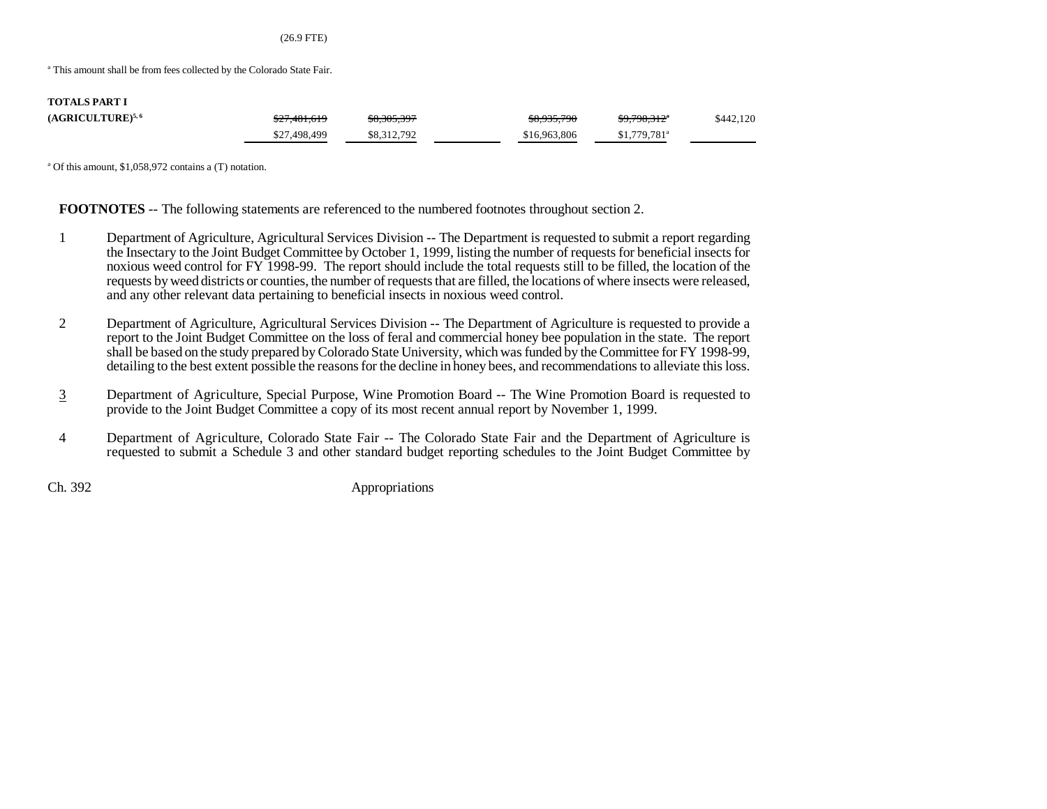(26.9 FTE)

<sup>a</sup> This amount shall be from fees collected by the Colorado State Fair.

| <b>TOTALS PART I</b>  |              |             |              |                           |           |
|-----------------------|--------------|-------------|--------------|---------------------------|-----------|
| $(AGRICULTURE)^{5,6}$ | \$27,481,619 | \$8,305,397 | \$8,935,790  | <del>\$9,798,312</del> *  | \$442,120 |
|                       | \$27,498,499 | \$8,312,792 | \$16,963,806 | $$1,779,781$ <sup>a</sup> |           |

a Of this amount, \$1,058,972 contains a (T) notation.

**FOOTNOTES** -- The following statements are referenced to the numbered footnotes throughout section 2.

- 1 Department of Agriculture, Agricultural Services Division -- The Department is requested to submit a report regarding the Insectary to the Joint Budget Committee by October 1, 1999, listing the number of requests for beneficial insects for noxious weed control for FY 1998-99. The report should include the total requests still to be filled, the location of the requests by weed districts or counties, the number of requests that are filled, the locations of where insects were released, and any other relevant data pertaining to beneficial insects in noxious weed control.
- 2 Department of Agriculture, Agricultural Services Division -- The Department of Agriculture is requested to provide a report to the Joint Budget Committee on the loss of feral and commercial honey bee population in the state. The report shall be based on the study prepared by Colorado State University, which was funded by the Committee for FY 1998-99, detailing to the best extent possible the reasons for the decline in honey bees, and recommendations to alleviate this loss.
- 3 Department of Agriculture, Special Purpose, Wine Promotion Board -- The Wine Promotion Board is requested to provide to the Joint Budget Committee a copy of its most recent annual report by November 1, 1999.
- 4 Department of Agriculture, Colorado State Fair -- The Colorado State Fair and the Department of Agriculture is requested to submit a Schedule 3 and other standard budget reporting schedules to the Joint Budget Committee by

Ch. 392 Appropriations